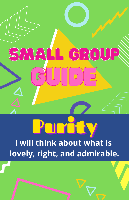

# ard d

**I will think about what is lovely, right, and admirable.**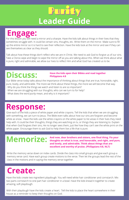### **Leader Guide Purity**

#### **Engage:**

For this lesson you will need a mirror and a sharpie. Have the kids talk about things in their lives that they sometimes struggle with. It could be certain sins, thoughts, etc. Write them on the mirror. Make sure to fill up the entire mirror so it is hard to see their reflection. Have the kids look at the mirror and see if they can see themselves as clear as they should.

Talk about how these things don't reflect who we are in Christ. We need to ask God to forgive us of our sins. Take a Clorox wipe and begin to wipe the mirror off as you are talking about this. When we think about what is pure, right and admirable, we allow our lives to reflect Him and what God has created us to be.

#### **Discuss:**

#### **Have the kids open their Bibles and read together Philippians 4:8**

Our Bible verse today talks about the importance of thinking about things that are true, honorable, right, pure, lovely, and admirable. The more we think about these things, the more we will become that way.

- Why do you think the things we watch and listen to are so important?
- When we are struggling with our thoughts, who can we turn to for help?
- What does the word *purity* mean, and why is it important?

#### **Response:**

Give each of the kids a piece of white paper and white crayons. Tell the kids that when we are struggling with something, we can turn to Jesus. The Bible even talks about how our sins are forgiven and become white as snow. Have the kids use the white crayons on the white paper to list areas in their lives they need help with. It could be their thoughts, things they are watching on tv, or things they are listening to. Explain that when God forgives their sins, He no longer sees them, just like how they can't see the white print on the white paper. Encourage them to ask God to help them live a life that is pure.

**Memorize:** And now, dear brothers and sisters, one final thing. Fix your<br>
and loyely, and admirable. Think about things that are **thoughts on what is true, and honorable, and right, and pure, and lovely, and admirable. Think about things that are excellent and worthy of praise. (Philippians 4:8, NLT)**

Write the memory verse down on index cards. Divide the class into small groups and give each group a memory verse card. Have each group create motions to the verse. Then let the groups lead the rest of the class in the motions and in saying the memory verse together.

### **Create:**

Have the kids create two-ingredient playdough. You will need white hair conditioner and cornstarch. Mix two parts cornstarch to one part hair conditioner in a bowl. Have the kids knead it together to create amazing, soft playdough.

With their playdough have the kids create a heart. Tell the kids to place the heart somewhere in their house as a reminder to keep their thoughts on God.